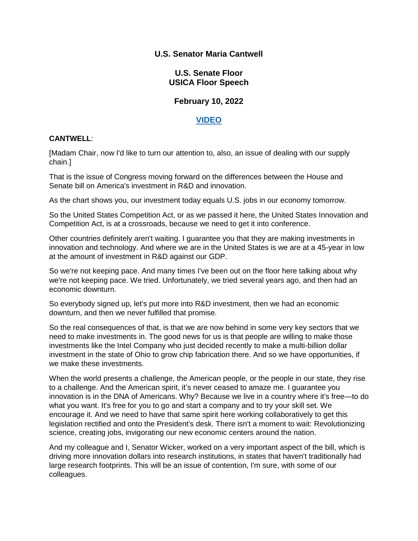### **U.S. Senator Maria Cantwell**

### **U.S. Senate Floor USICA Floor Speech**

# **February 10, 2022**

# **[VIDEO](https://youtu.be/O3_2GHTr0u0)**

### **CANTWELL**:

[Madam Chair, now I'd like to turn our attention to, also, an issue of dealing with our supply chain.]

That is the issue of Congress moving forward on the differences between the House and Senate bill on America's investment in R&D and innovation.

As the chart shows you, our investment today equals U.S. jobs in our economy tomorrow.

So the United States Competition Act, or as we passed it here, the United States Innovation and Competition Act, is at a crossroads, because we need to get it into conference.

Other countries definitely aren't waiting. I guarantee you that they are making investments in innovation and technology. And where we are in the United States is we are at a 45-year in low at the amount of investment in R&D against our GDP.

So we're not keeping pace. And many times I've been out on the floor here talking about why we're not keeping pace. We tried. Unfortunately, we tried several years ago, and then had an economic downturn.

So everybody signed up, let's put more into R&D investment, then we had an economic downturn, and then we never fulfilled that promise.

So the real consequences of that, is that we are now behind in some very key sectors that we need to make investments in. The good news for us is that people are willing to make those investments like the Intel Company who just decided recently to make a multi-billion dollar investment in the state of Ohio to grow chip fabrication there. And so we have opportunities, if we make these investments.

When the world presents a challenge, the American people, or the people in our state, they rise to a challenge. And the American spirit, it's never ceased to amaze me. I guarantee you innovation is in the DNA of Americans. Why? Because we live in a country where it's free—to do what you want. It's free for you to go and start a company and to try your skill set. We encourage it. And we need to have that same spirit here working collaboratively to get this legislation rectified and onto the President's desk. There isn't a moment to wait: Revolutionizing science, creating jobs, invigorating our new economic centers around the nation.

And my colleague and I, Senator Wicker, worked on a very important aspect of the bill, which is driving more innovation dollars into research institutions, in states that haven't traditionally had large research footprints. This will be an issue of contention, I'm sure, with some of our colleagues.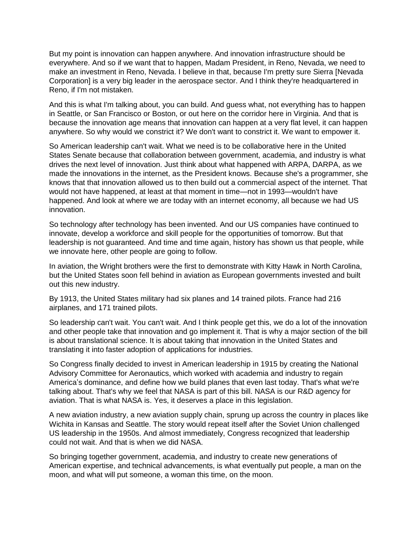But my point is innovation can happen anywhere. And innovation infrastructure should be everywhere. And so if we want that to happen, Madam President, in Reno, Nevada, we need to make an investment in Reno, Nevada. I believe in that, because I'm pretty sure Sierra [Nevada Corporation] is a very big leader in the aerospace sector. And I think they're headquartered in Reno, if I'm not mistaken.

And this is what I'm talking about, you can build. And guess what, not everything has to happen in Seattle, or San Francisco or Boston, or out here on the corridor here in Virginia. And that is because the innovation age means that innovation can happen at a very flat level, it can happen anywhere. So why would we constrict it? We don't want to constrict it. We want to empower it.

So American leadership can't wait. What we need is to be collaborative here in the United States Senate because that collaboration between government, academia, and industry is what drives the next level of innovation. Just think about what happened with ARPA, DARPA, as we made the innovations in the internet, as the President knows. Because she's a programmer, she knows that that innovation allowed us to then build out a commercial aspect of the internet. That would not have happened, at least at that moment in time—not in 1993—wouldn't have happened. And look at where we are today with an internet economy, all because we had US innovation.

So technology after technology has been invented. And our US companies have continued to innovate, develop a workforce and skill people for the opportunities of tomorrow. But that leadership is not guaranteed. And time and time again, history has shown us that people, while we innovate here, other people are going to follow.

In aviation, the Wright brothers were the first to demonstrate with Kitty Hawk in North Carolina, but the United States soon fell behind in aviation as European governments invested and built out this new industry.

By 1913, the United States military had six planes and 14 trained pilots. France had 216 airplanes, and 171 trained pilots.

So leadership can't wait. You can't wait. And I think people get this, we do a lot of the innovation and other people take that innovation and go implement it. That is why a major section of the bill is about translational science. It is about taking that innovation in the United States and translating it into faster adoption of applications for industries.

So Congress finally decided to invest in American leadership in 1915 by creating the National Advisory Committee for Aeronautics, which worked with academia and industry to regain America's dominance, and define how we build planes that even last today. That's what we're talking about. That's why we feel that NASA is part of this bill. NASA is our R&D agency for aviation. That is what NASA is. Yes, it deserves a place in this legislation.

A new aviation industry, a new aviation supply chain, sprung up across the country in places like Wichita in Kansas and Seattle. The story would repeat itself after the Soviet Union challenged US leadership in the 1950s. And almost immediately, Congress recognized that leadership could not wait. And that is when we did NASA.

So bringing together government, academia, and industry to create new generations of American expertise, and technical advancements, is what eventually put people, a man on the moon, and what will put someone, a woman this time, on the moon.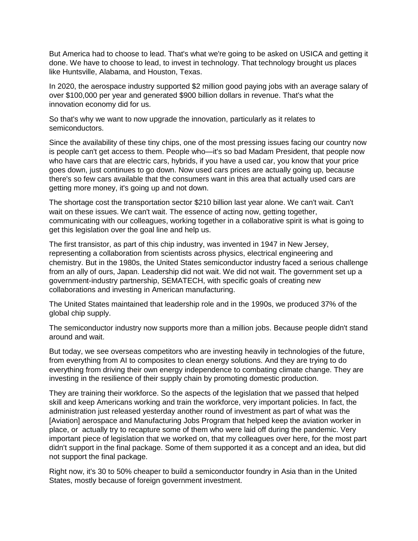But America had to choose to lead. That's what we're going to be asked on USICA and getting it done. We have to choose to lead, to invest in technology. That technology brought us places like Huntsville, Alabama, and Houston, Texas.

In 2020, the aerospace industry supported \$2 million good paying jobs with an average salary of over \$100,000 per year and generated \$900 billion dollars in revenue. That's what the innovation economy did for us.

So that's why we want to now upgrade the innovation, particularly as it relates to semiconductors.

Since the availability of these tiny chips, one of the most pressing issues facing our country now is people can't get access to them. People who—it's so bad Madam President, that people now who have cars that are electric cars, hybrids, if you have a used car, you know that your price goes down, just continues to go down. Now used cars prices are actually going up, because there's so few cars available that the consumers want in this area that actually used cars are getting more money, it's going up and not down.

The shortage cost the transportation sector \$210 billion last year alone. We can't wait. Can't wait on these issues. We can't wait. The essence of acting now, getting together, communicating with our colleagues, working together in a collaborative spirit is what is going to get this legislation over the goal line and help us.

The first transistor, as part of this chip industry, was invented in 1947 in New Jersey, representing a collaboration from scientists across physics, electrical engineering and chemistry. But in the 1980s, the United States semiconductor industry faced a serious challenge from an ally of ours, Japan. Leadership did not wait. We did not wait. The government set up a government-industry partnership, SEMATECH, with specific goals of creating new collaborations and investing in American manufacturing.

The United States maintained that leadership role and in the 1990s, we produced 37% of the global chip supply.

The semiconductor industry now supports more than a million jobs. Because people didn't stand around and wait.

But today, we see overseas competitors who are investing heavily in technologies of the future, from everything from AI to composites to clean energy solutions. And they are trying to do everything from driving their own energy independence to combating climate change. They are investing in the resilience of their supply chain by promoting domestic production.

They are training their workforce. So the aspects of the legislation that we passed that helped skill and keep Americans working and train the workforce, very important policies. In fact, the administration just released yesterday another round of investment as part of what was the [Aviation] aerospace and Manufacturing Jobs Program that helped keep the aviation worker in place, or actually try to recapture some of them who were laid off during the pandemic. Very important piece of legislation that we worked on, that my colleagues over here, for the most part didn't support in the final package. Some of them supported it as a concept and an idea, but did not support the final package.

Right now, it's 30 to 50% cheaper to build a semiconductor foundry in Asia than in the United States, mostly because of foreign government investment.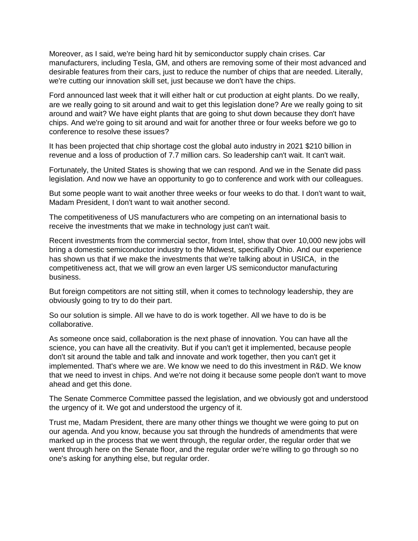Moreover, as I said, we're being hard hit by semiconductor supply chain crises. Car manufacturers, including Tesla, GM, and others are removing some of their most advanced and desirable features from their cars, just to reduce the number of chips that are needed. Literally, we're cutting our innovation skill set, just because we don't have the chips.

Ford announced last week that it will either halt or cut production at eight plants. Do we really, are we really going to sit around and wait to get this legislation done? Are we really going to sit around and wait? We have eight plants that are going to shut down because they don't have chips. And we're going to sit around and wait for another three or four weeks before we go to conference to resolve these issues?

It has been projected that chip shortage cost the global auto industry in 2021 \$210 billion in revenue and a loss of production of 7.7 million cars. So leadership can't wait. It can't wait.

Fortunately, the United States is showing that we can respond. And we in the Senate did pass legislation. And now we have an opportunity to go to conference and work with our colleagues.

But some people want to wait another three weeks or four weeks to do that. I don't want to wait, Madam President, I don't want to wait another second.

The competitiveness of US manufacturers who are competing on an international basis to receive the investments that we make in technology just can't wait.

Recent investments from the commercial sector, from Intel, show that over 10,000 new jobs will bring a domestic semiconductor industry to the Midwest, specifically Ohio. And our experience has shown us that if we make the investments that we're talking about in USICA, in the competitiveness act, that we will grow an even larger US semiconductor manufacturing business.

But foreign competitors are not sitting still, when it comes to technology leadership, they are obviously going to try to do their part.

So our solution is simple. All we have to do is work together. All we have to do is be collaborative.

As someone once said, collaboration is the next phase of innovation. You can have all the science, you can have all the creativity. But if you can't get it implemented, because people don't sit around the table and talk and innovate and work together, then you can't get it implemented. That's where we are. We know we need to do this investment in R&D. We know that we need to invest in chips. And we're not doing it because some people don't want to move ahead and get this done.

The Senate Commerce Committee passed the legislation, and we obviously got and understood the urgency of it. We got and understood the urgency of it.

Trust me, Madam President, there are many other things we thought we were going to put on our agenda. And you know, because you sat through the hundreds of amendments that were marked up in the process that we went through, the regular order, the regular order that we went through here on the Senate floor, and the regular order we're willing to go through so no one's asking for anything else, but regular order.